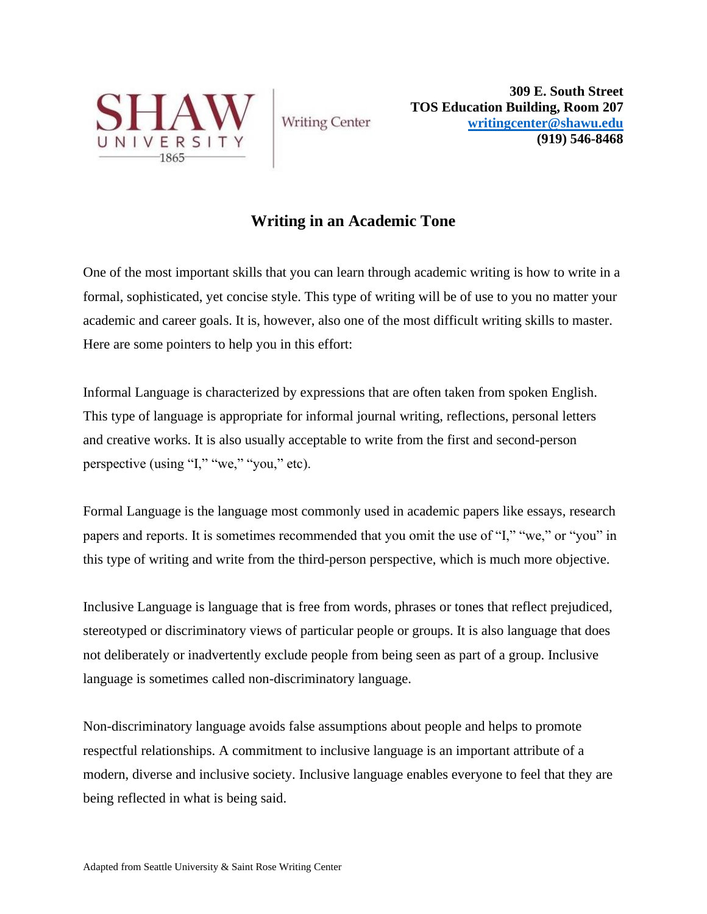

**Writing Center** 

**309 E. South Street TOS Education Building, Room 207 [writingcenter@shawu.edu](mailto:writingcenter@shawu.edu) (919) 546-8468**

## **Writing in an Academic Tone**

One of the most important skills that you can learn through academic writing is how to write in a formal, sophisticated, yet concise style. This type of writing will be of use to you no matter your academic and career goals. It is, however, also one of the most difficult writing skills to master. Here are some pointers to help you in this effort:

Informal Language is characterized by expressions that are often taken from spoken English. This type of language is appropriate for informal journal writing, reflections, personal letters and creative works. It is also usually acceptable to write from the first and second-person perspective (using "I," "we," "you," etc).

Formal Language is the language most commonly used in academic papers like essays, research papers and reports. It is sometimes recommended that you omit the use of "I," "we," or "you" in this type of writing and write from the third-person perspective, which is much more objective.

Inclusive Language is language that is free from words, phrases or tones that reflect prejudiced, stereotyped or discriminatory views of particular people or groups. It is also language that does not deliberately or inadvertently exclude people from being seen as part of a group. Inclusive language is sometimes called non-discriminatory language.

Non-discriminatory language avoids false assumptions about people and helps to promote respectful relationships. A commitment to inclusive language is an important attribute of a modern, diverse and inclusive society. Inclusive language enables everyone to feel that they are being reflected in what is being said.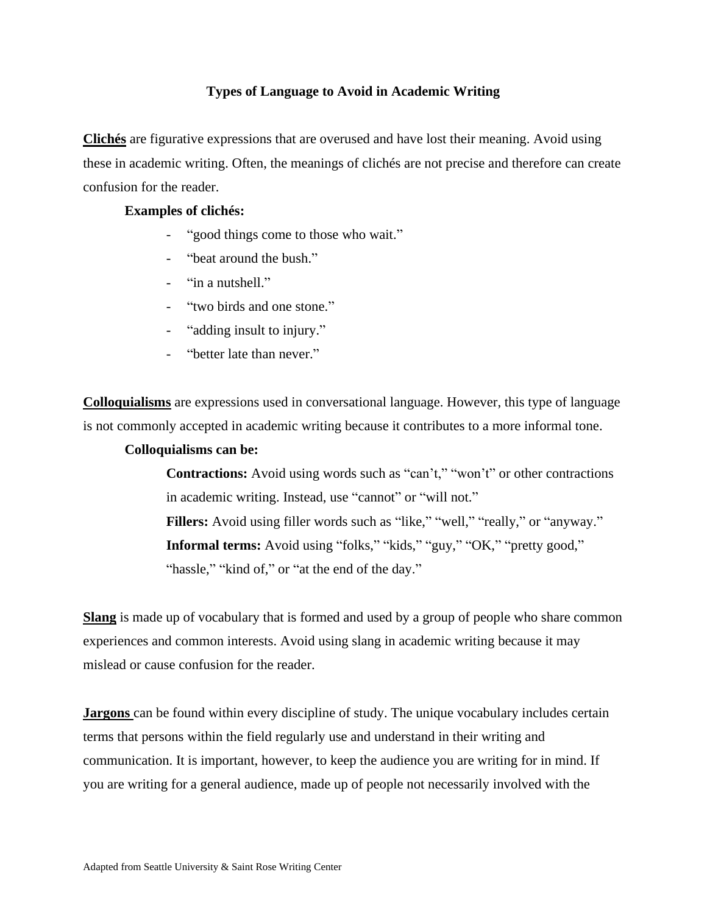## **Types of Language to Avoid in Academic Writing**

**Clichés** are figurative expressions that are overused and have lost their meaning. Avoid using these in academic writing. Often, the meanings of clichés are not precise and therefore can create confusion for the reader.

## **Examples of clichés:**

- " good things come to those who wait."
- "beat around the bush."
- "in a nutshell."
- "two birds and one stone."
- "adding insult to injury."
- "better late than never."

**Colloquialisms** are expressions used in conversational language. However, this type of language is not commonly accepted in academic writing because it contributes to a more informal tone.

## **Colloquialisms can be:**

**Contractions:** Avoid using words such as "can't," "won't" or other contractions in academic writing. Instead, use "cannot" or "will not." **Fillers:** Avoid using filler words such as "like," "well," "really," or "anyway." **Informal terms:** Avoid using "folks," "kids," "guy," "OK," "pretty good," "hassle," "kind of," or "at the end of the day."

**Slang** is made up of vocabulary that is formed and used by a group of people who share common experiences and common interests. Avoid using slang in academic writing because it may mislead or cause confusion for the reader.

**Jargons** can be found within every discipline of study. The unique vocabulary includes certain terms that persons within the field regularly use and understand in their writing and communication. It is important, however, to keep the audience you are writing for in mind. If you are writing for a general audience, made up of people not necessarily involved with the